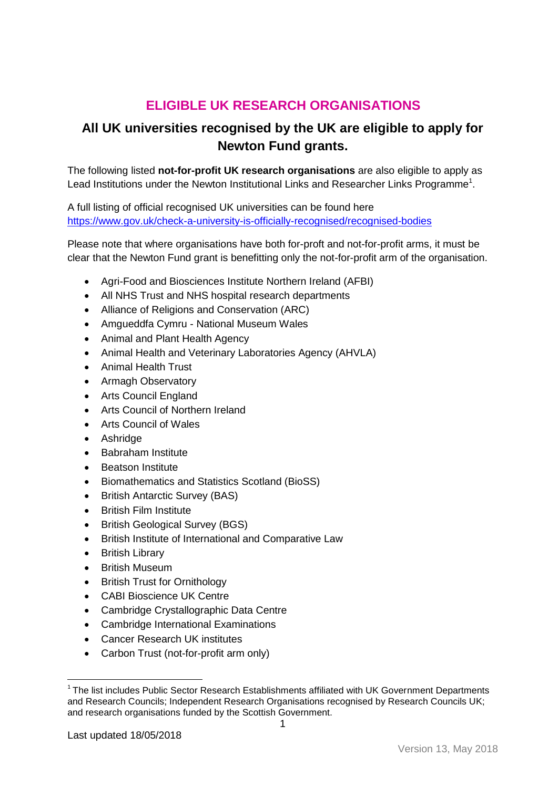## **ELIGIBLE UK RESEARCH ORGANISATIONS**

## **All UK universities recognised by the UK are eligible to apply for Newton Fund grants.**

The following listed **not-for-profit UK research organisations** are also eligible to apply as Lead Institutions under the Newton Institutional Links and Researcher Links Programme<sup>1</sup>.

A full listing of official recognised UK universities can be found here <https://www.gov.uk/check-a-university-is-officially-recognised/recognised-bodies>

Please note that where organisations have both for-proft and not-for-profit arms, it must be clear that the Newton Fund grant is benefitting only the not-for-profit arm of the organisation.

- Agri-Food and Biosciences Institute Northern Ireland (AFBI)
- All NHS Trust and NHS hospital research departments
- Alliance of Religions and Conservation (ARC)
- Amgueddfa Cymru National Museum Wales
- Animal and Plant Health Agency
- Animal Health and Veterinary Laboratories Agency (AHVLA)
- Animal Health Trust
- Armagh Observatory
- Arts Council England
- Arts Council of Northern Ireland
- Arts Council of Wales
- Ashridge
- Babraham Institute
- Beatson Institute
- Biomathematics and Statistics Scotland (BioSS)
- British Antarctic Survey (BAS)
- British Film Institute
- British Geological Survey (BGS)
- British Institute of International and Comparative Law
- British Library
- British Museum
- British Trust for Ornithology
- CABI Bioscience UK Centre
- Cambridge Crystallographic Data Centre
- Cambridge International Examinations
- Cancer Research UK institutes
- Carbon Trust (not-for-profit arm only)

**.** 

 $1$ The list includes Public Sector Research Establishments affiliated with UK Government Departments and Research Councils; Independent Research Organisations recognised by Research Councils UK; and research organisations funded by the Scottish Government.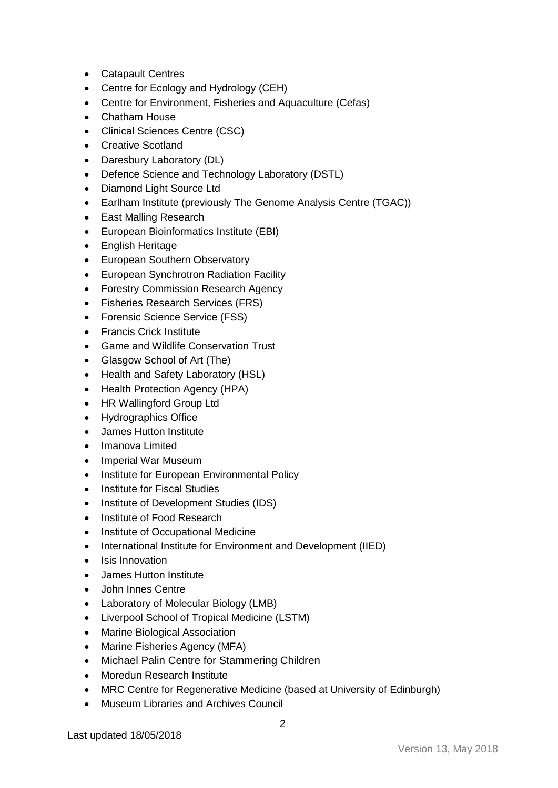- Catapault Centres
- Centre for Ecology and Hydrology (CEH)
- Centre for Environment, Fisheries and Aquaculture (Cefas)
- Chatham House
- Clinical Sciences Centre (CSC)
- Creative Scotland
- Daresbury Laboratory (DL)
- Defence Science and Technology Laboratory (DSTL)
- Diamond Light Source Ltd
- Earlham Institute (previously The Genome Analysis Centre (TGAC))
- East Malling Research
- European Bioinformatics Institute (EBI)
- English Heritage
- European Southern Observatory
- European Synchrotron Radiation Facility
- Forestry Commission Research Agency
- Fisheries Research Services (FRS)
- Forensic Science Service (FSS)
- Francis Crick Institute
- Game and Wildlife Conservation Trust
- Glasgow School of Art (The)
- Health and Safety Laboratory (HSL)
- Health Protection Agency (HPA)
- HR Wallingford Group Ltd
- Hydrographics Office
- James Hutton Institute
- Imanova Limited
- Imperial War Museum
- Institute for European Environmental Policy
- Institute for Fiscal Studies
- Institute of Development Studies (IDS)
- Institute of Food Research
- Institute of Occupational Medicine
- International Institute for Environment and Development (IIED)
- Isis Innovation
- James Hutton Institute
- John Innes Centre
- Laboratory of Molecular Biology (LMB)
- Liverpool School of Tropical Medicine (LSTM)
- Marine Biological Association
- Marine Fisheries Agency (MFA)
- Michael Palin Centre for Stammering Children
- Moredun Research Institute
- MRC Centre for Regenerative Medicine (based at University of Edinburgh)
- Museum Libraries and Archives Council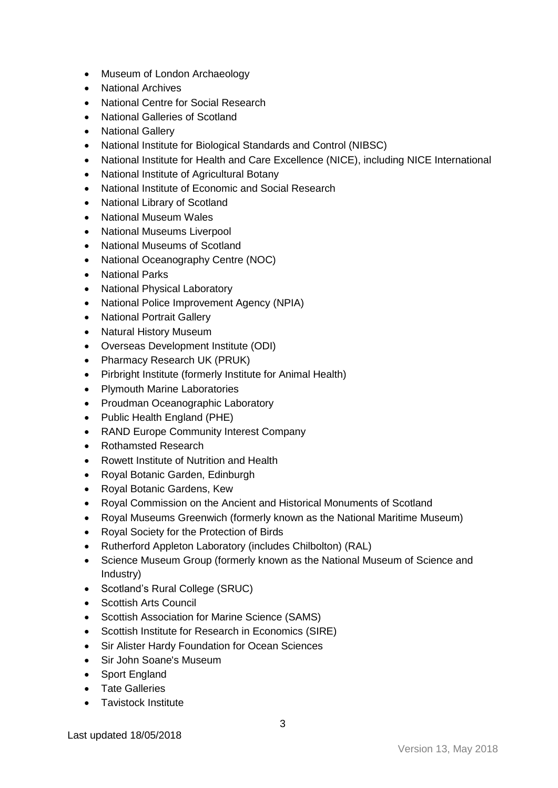- Museum of London Archaeology
- National Archives
- National Centre for Social Research
- National Galleries of Scotland
- National Gallery
- National Institute for Biological Standards and Control (NIBSC)
- National Institute for Health and Care Excellence (NICE), including NICE International
- National Institute of Agricultural Botany
- National Institute of Economic and Social Research
- National Library of Scotland
- National Museum Wales
- National Museums Liverpool
- National Museums of Scotland
- National Oceanography Centre (NOC)
- National Parks
- National Physical Laboratory
- National Police Improvement Agency (NPIA)
- National Portrait Gallery
- Natural History Museum
- Overseas Development Institute (ODI)
- Pharmacy Research UK (PRUK)
- Pirbright Institute (formerly Institute for Animal Health)
- Plymouth Marine Laboratories
- Proudman Oceanographic Laboratory
- Public Health England (PHE)
- RAND Europe Community Interest Company
- Rothamsted Research
- Rowett Institute of Nutrition and Health
- Royal Botanic Garden, Edinburgh
- Royal Botanic Gardens, Kew
- Royal Commission on the Ancient and Historical Monuments of Scotland
- Royal Museums Greenwich (formerly known as the National Maritime Museum)
- Royal Society for the Protection of Birds
- Rutherford Appleton Laboratory (includes Chilbolton) (RAL)
- Science Museum Group (formerly known as the National Museum of Science and Industry)
- Scotland's Rural College (SRUC)
- Scottish Arts Council
- Scottish Association for Marine Science (SAMS)
- Scottish Institute for Research in Economics (SIRE)
- Sir Alister Hardy Foundation for Ocean Sciences
- Sir John Soane's Museum
- Sport England
- Tate Galleries
- Tavistock Institute